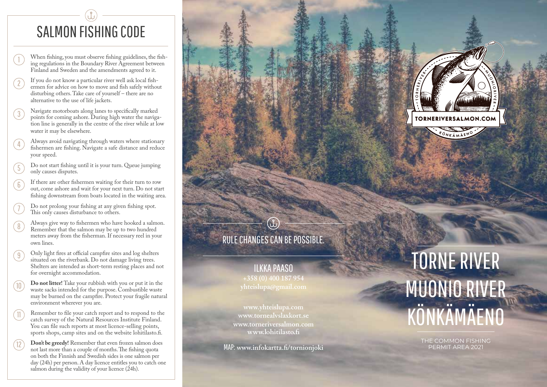# SALMON FISHING CODE

- When fishing, you must observe fishing guidelines, the fishing regulations in the Boundary River Agreement between Finland and Sweden and the amendments agreed to it.
- $\frac{1}{2}$   $\frac{1}{3}$   $\frac{3}{4}$   $\frac{4}{5}$   $\frac{5}{6}$   $\frac{7}{7}$   $\frac{1}{8}$   $\frac{1}{9}$  $\frac{1}{2}$ If you do not know a particular river well ask local fish ermen for advice on how to move and fish safely without disturbing others. Take care of yourself – there are no alternative to the use of life jackets.
- Navigate motorboats along lanes to specifically marked  $(3)$ points for coming ashore. During high water the naviga tion line is generally in the centre of the river while at low water it may be elsewhere.
- Always avoid navigating through waters where stationary  $(4)$ fishermen are fishing. Navigate a safe distance and reduce your speed.
- Do not start fishing until it is your turn. Queue jumping  $(5)$ only causes disputes.
- If there are other fishermen waiting for their turn to row  $(6)$ out, come ashore and wait for your next turn. Do not start fishing downstream from boats located in the waiting area.
	- Do not prolong your fishing at any given fishing spot. This only causes disturbance to others.
- Always give way to fishermen who have hooked a salmon.  $(8)$ Remember that the salmon may be up to two hundred meters away from the fisherman. If necessary reel in your own lines.
- Only light fires at official campfire sites and log shelters  $(9)$ situated on the riverbank. Do not damage living trees. Shelters are intended as short-term resting places and not for overnight accommodation.
- **Do not litter!** Take your rubbish with you or put it in the waste sacks intended for the purpose. Combustible waste may be burned on the campfire. Protect your fragile natural environment wherever you are.  $(10$
- Remember to file your catch report and to respond to the catch survey of the Natural Resources Institute Finland. You can file such reports at most licence-selling points, sports shops, camp sites and on the website lohitilasto.fi.  $(11)$

 $(12)$ 

**Don't be greedy!** Remember that even frozen salmon does not last more than a couple of months. The fishing quota on both the Finnish and Swedish sides is one salmon per day (24h) per person. A day licence entitles you to catch one salmon during the validity of your licence (24h).



# RULE CHANGES CAN BE POSSIBLE.

 $\bigcirc$ 

ILKKA PAASO

**www.tornealvslaxkort.se www.torneriversalmon.com www.lohitilasto.fi** 

MAP: **www.infokartta.fi/tornionjoki**

# TORNE RIVER MUONIO RIVER KÖNKÄMÄENO

THE COMMON FISHING PERMIT AREA 2021